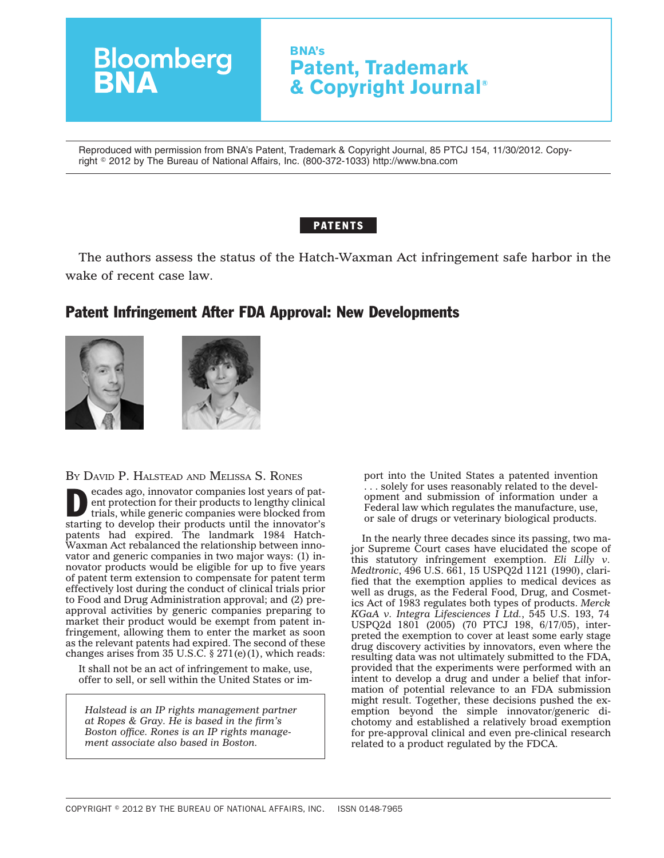## **Bloomberg**<br>**BNA BNA's Patent, Trademark & Copyright Journal®**

Reproduced with permission from BNA's Patent, Trademark & Copyright Journal, 85 PTCJ 154, 11/30/2012. Copyright - 2012 by The Bureau of National Affairs, Inc. (800-372-1033) http://www.bna.com

## **PATENTS**

The authors assess the status of the Hatch-Waxman Act infringement safe harbor in the wake of recent case law.

## Patent Infringement After FDA Approval: New Developments





BY DAVID P. HALSTEAD AND MELISSA S. RONES

**Example 20** ecades ago, innovator companies lost years of pat-<br>
ent protection for their products to lengthy clinical<br>
trials, while generic companies were blocked from ent protection for their products to lengthy clinical starting to develop their products until the innovator's patents had expired. The landmark 1984 Hatch-Waxman Act rebalanced the relationship between innovator and generic companies in two major ways: (1) innovator products would be eligible for up to five years of patent term extension to compensate for patent term effectively lost during the conduct of clinical trials prior to Food and Drug Administration approval; and (2) preapproval activities by generic companies preparing to market their product would be exempt from patent infringement, allowing them to enter the market as soon as the relevant patents had expired. The second of these changes arises from 35 U.S.C.  $\S 271(e)(1)$ , which reads:

It shall not be an act of infringement to make, use, offer to sell, or sell within the United States or im-

*Halstead is an IP rights management partner at Ropes & Gray. He is based in the firm's Boston office. Rones is an IP rights management associate also based in Boston.*

port into the United States a patented invention . . . solely for uses reasonably related to the development and submission of information under a Federal law which regulates the manufacture, use, or sale of drugs or veterinary biological products.

In the nearly three decades since its passing, two major Supreme Court cases have elucidated the scope of this statutory infringement exemption. *Eli Lilly v. Medtronic*, 496 U.S. 661, 15 USPQ2d 1121 (1990), clarified that the exemption applies to medical devices as well as drugs, as the Federal Food, Drug, and Cosmetics Act of 1983 regulates both types of products. *Merck KGaA v. Integra Lifesciences I Ltd.*, 545 U.S. 193, 74 USPQ2d 1801 (2005) (70 PTCJ 198, 6/17/05), interpreted the exemption to cover at least some early stage drug discovery activities by innovators, even where the resulting data was not ultimately submitted to the FDA, provided that the experiments were performed with an intent to develop a drug and under a belief that information of potential relevance to an FDA submission might result. Together, these decisions pushed the exemption beyond the simple innovator/generic dichotomy and established a relatively broad exemption for pre-approval clinical and even pre-clinical research related to a product regulated by the FDCA.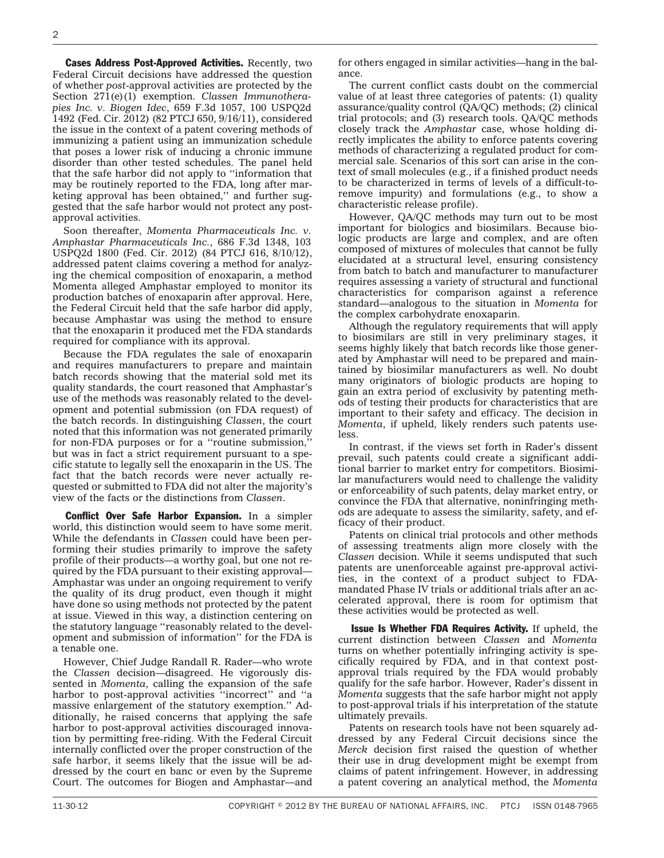Cases Address Post-Approved Activities. Recently, two Federal Circuit decisions have addressed the question of whether *post*-approval activities are protected by the Section 271(e)(1) exemption. *Classen Immunotherapies Inc. v. Biogen Idec*, 659 F.3d 1057, 100 USPQ2d 1492 (Fed. Cir. 2012) (82 PTCJ 650, 9/16/11), considered the issue in the context of a patent covering methods of immunizing a patient using an immunization schedule that poses a lower risk of inducing a chronic immune disorder than other tested schedules. The panel held that the safe harbor did not apply to ''information that may be routinely reported to the FDA, long after marketing approval has been obtained,'' and further suggested that the safe harbor would not protect any postapproval activities.

Soon thereafter, *Momenta Pharmaceuticals Inc. v. Amphastar Pharmaceuticals Inc.*, 686 F.3d 1348, 103 USPQ2d 1800 (Fed. Cir. 2012) (84 PTCJ 616, 8/10/12), addressed patent claims covering a method for analyzing the chemical composition of enoxaparin, a method Momenta alleged Amphastar employed to monitor its production batches of enoxaparin after approval. Here, the Federal Circuit held that the safe harbor did apply, because Amphastar was using the method to ensure that the enoxaparin it produced met the FDA standards required for compliance with its approval.

Because the FDA regulates the sale of enoxaparin and requires manufacturers to prepare and maintain batch records showing that the material sold met its quality standards, the court reasoned that Amphastar's use of the methods was reasonably related to the development and potential submission (on FDA request) of the batch records. In distinguishing *Classen*, the court noted that this information was not generated primarily for non-FDA purposes or for a ''routine submission,'' but was in fact a strict requirement pursuant to a specific statute to legally sell the enoxaparin in the US. The fact that the batch records were never actually requested or submitted to FDA did not alter the majority's view of the facts or the distinctions from *Classen*.

**Conflict Over Safe Harbor Expansion.** In a simpler world, this distinction would seem to have some merit. While the defendants in *Classen* could have been performing their studies primarily to improve the safety profile of their products—a worthy goal, but one not required by the FDA pursuant to their existing approval— Amphastar was under an ongoing requirement to verify the quality of its drug product, even though it might have done so using methods not protected by the patent at issue. Viewed in this way, a distinction centering on the statutory language ''reasonably related to the development and submission of information'' for the FDA is a tenable one.

However, Chief Judge Randall R. Rader—who wrote the *Classen* decision—disagreed. He vigorously dissented in *Momenta*, calling the expansion of the safe harbor to post-approval activities "incorrect" and "a massive enlargement of the statutory exemption.'' Additionally, he raised concerns that applying the safe harbor to post-approval activities discouraged innovation by permitting free-riding. With the Federal Circuit internally conflicted over the proper construction of the safe harbor, it seems likely that the issue will be addressed by the court en banc or even by the Supreme Court. The outcomes for Biogen and Amphastar—and

for others engaged in similar activities—hang in the balance.

The current conflict casts doubt on the commercial value of at least three categories of patents: (1) quality assurance/quality control (QA/QC) methods; (2) clinical trial protocols; and (3) research tools. QA/QC methods closely track the *Amphastar* case, whose holding directly implicates the ability to enforce patents covering methods of characterizing a regulated product for commercial sale. Scenarios of this sort can arise in the context of small molecules (e.g., if a finished product needs to be characterized in terms of levels of a difficult-toremove impurity) and formulations (e.g., to show a characteristic release profile).

However, QA/QC methods may turn out to be most important for biologics and biosimilars. Because biologic products are large and complex, and are often composed of mixtures of molecules that cannot be fully elucidated at a structural level, ensuring consistency from batch to batch and manufacturer to manufacturer requires assessing a variety of structural and functional characteristics for comparison against a reference standard—analogous to the situation in *Momenta* for the complex carbohydrate enoxaparin.

Although the regulatory requirements that will apply to biosimilars are still in very preliminary stages, it seems highly likely that batch records like those generated by Amphastar will need to be prepared and maintained by biosimilar manufacturers as well. No doubt many originators of biologic products are hoping to gain an extra period of exclusivity by patenting methods of testing their products for characteristics that are important to their safety and efficacy. The decision in *Momenta*, if upheld, likely renders such patents useless.

In contrast, if the views set forth in Rader's dissent prevail, such patents could create a significant additional barrier to market entry for competitors. Biosimilar manufacturers would need to challenge the validity or enforceability of such patents, delay market entry, or convince the FDA that alternative, noninfringing methods are adequate to assess the similarity, safety, and efficacy of their product.

Patents on clinical trial protocols and other methods of assessing treatments align more closely with the *Classen* decision. While it seems undisputed that such patents are unenforceable against pre-approval activities, in the context of a product subject to FDAmandated Phase IV trials or additional trials after an accelerated approval, there is room for optimism that these activities would be protected as well.

Issue Is Whether FDA Requires Activity. If upheld, the current distinction between *Classen* and *Momenta* turns on whether potentially infringing activity is specifically required by FDA, and in that context postapproval trials required by the FDA would probably qualify for the safe harbor. However, Rader's dissent in *Momenta* suggests that the safe harbor might not apply to post-approval trials if his interpretation of the statute ultimately prevails.

Patents on research tools have not been squarely addressed by any Federal Circuit decisions since the *Merck* decision first raised the question of whether their use in drug development might be exempt from claims of patent infringement. However, in addressing a patent covering an analytical method, the *Momenta*